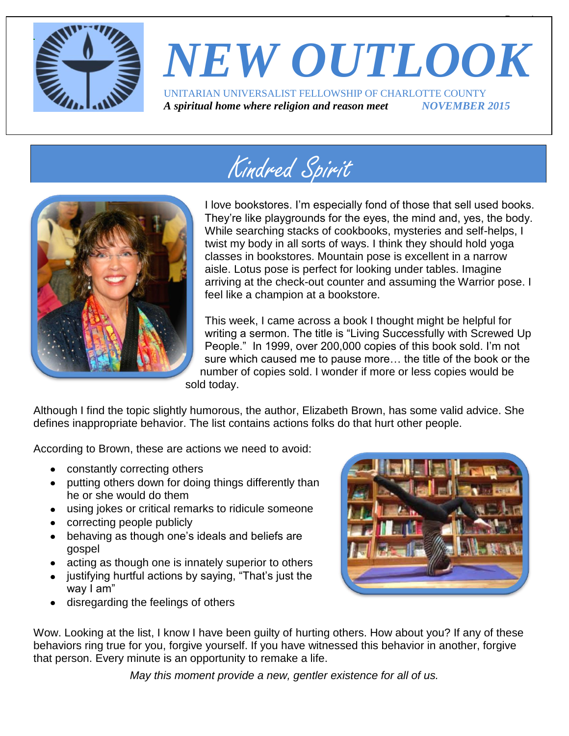

# *NEW OUTLOOK* UNITARIAN UNIVERSALIST FELLOWSHIP OF CHARLOTTE COUNTY

 $\overline{\phantom{a}}$ 

*A spiritual home where religion and reason meet NOVEMBER 2015*

# Kindred Spirit



I love bookstores. I'm especially fond of those that sell used books. They're like playgrounds for the eyes, the mind and, yes, the body. While searching stacks of cookbooks, mysteries and self-helps, I twist my body in all sorts of ways. I think they should hold yoga classes in bookstores. Mountain pose is excellent in a narrow aisle. Lotus pose is perfect for looking under tables. Imagine arriving at the check-out counter and assuming the Warrior pose. I feel like a champion at a bookstore.

This week, I came across a book I thought might be helpful for writing a sermon. The title is "Living Successfully with Screwed Up People." In 1999, over 200,000 copies of this book sold. I'm not sure which caused me to pause more… the title of the book or the number of copies sold. I wonder if more or less copies would be sold today.

Although I find the topic slightly humorous, the author, Elizabeth Brown, has some valid advice. She defines inappropriate behavior. The list contains actions folks do that hurt other people.

According to Brown, these are actions we need to avoid:

- constantly correcting others
- putting others down for doing things differently than he or she would do them
- using jokes or critical remarks to ridicule someone
- correcting people publicly
- behaving as though one's ideals and beliefs are gospel
- acting as though one is innately superior to others
- justifying hurtful actions by saying, "That's just the way I am"
- disregarding the feelings of others



Wow. Looking at the list, I know I have been guilty of hurting others. How about you? If any of these behaviors ring true for you, forgive yourself. If you have witnessed this behavior in another, forgive that person. Every minute is an opportunity to remake a life.

*May this moment provide a new, gentler existence for all of us.*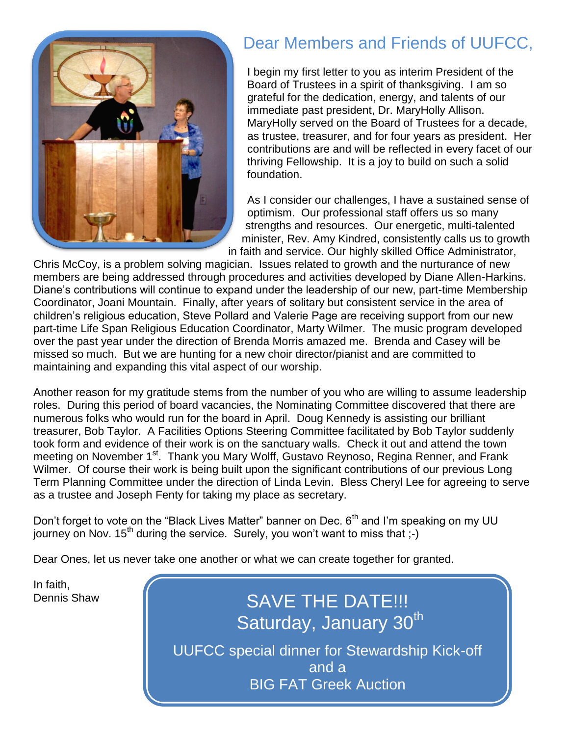

### Dear Members and Friends of UUFCC,

I begin my first letter to you as interim President of the Board of Trustees in a spirit of thanksgiving. I am so grateful for the dedication, energy, and talents of our immediate past president, Dr. MaryHolly Allison. MaryHolly served on the Board of Trustees for a decade, as trustee, treasurer, and for four years as president. Her contributions are and will be reflected in every facet of our thriving Fellowship. It is a joy to build on such a solid foundation.

As I consider our challenges, I have a sustained sense of optimism. Our professional staff offers us so many strengths and resources. Our energetic, multi-talented minister, Rev. Amy Kindred, consistently calls us to growth in faith and service. Our highly skilled Office Administrator,

Chris McCoy, is a problem solving magician. Issues related to growth and the nurturance of new members are being addressed through procedures and activities developed by Diane Allen-Harkins. Diane's contributions will continue to expand under the leadership of our new, part-time Membership Coordinator, Joani Mountain. Finally, after years of solitary but consistent service in the area of children's religious education, Steve Pollard and Valerie Page are receiving support from our new part-time Life Span Religious Education Coordinator, Marty Wilmer. The music program developed over the past year under the direction of Brenda Morris amazed me. Brenda and Casey will be missed so much. But we are hunting for a new choir director/pianist and are committed to maintaining and expanding this vital aspect of our worship.

Another reason for my gratitude stems from the number of you who are willing to assume leadership roles. During this period of board vacancies, the Nominating Committee discovered that there are numerous folks who would run for the board in April. Doug Kennedy is assisting our brilliant treasurer, Bob Taylor. A Facilities Options Steering Committee facilitated by Bob Taylor suddenly took form and evidence of their work is on the sanctuary walls. Check it out and attend the town meeting on November 1<sup>st</sup>. Thank you Mary Wolff, Gustavo Reynoso, Regina Renner, and Frank Wilmer. Of course their work is being built upon the significant contributions of our previous Long Term Planning Committee under the direction of Linda Levin. Bless Cheryl Lee for agreeing to serve as a trustee and Joseph Fenty for taking my place as secretary.

Don't forget to vote on the "Black Lives Matter" banner on Dec.  $6<sup>th</sup>$  and I'm speaking on my UU journey on Nov. 15<sup>th</sup> during the service. Surely, you won't want to miss that ;-)

Dear Ones, let us never take one another or what we can create together for granted.

In faith,

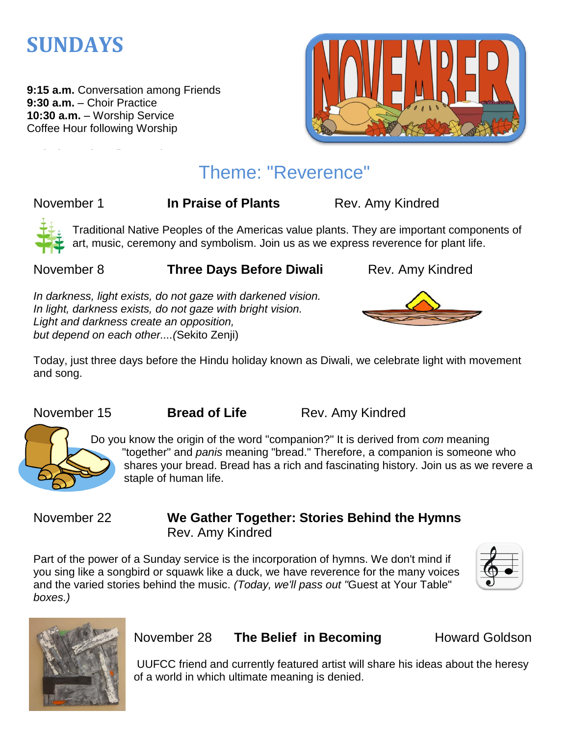

**9:15 a.m.** Conversation among Friends **9:30 a.m.** – Choir Practice **10:30 a.m.** – Worship Service Coffee Hour following Worship



### Theme: "Reverence"

November 1 **In Praise of Plants** Rev. Amy Kindred



Traditional Native Peoples of the Americas value plants. They are important components of art, music, ceremony and symbolism. Join us as we express reverence for plant life.

#### November 8 **Three Days Before Diwali** Rev. Amy Kindred

*In darkness, light exists, do not gaze with darkened vision. In light, darkness exists, do not gaze with bright vision. Light and darkness create an opposition, but depend on each other....(*Sekito Zenji)





Today, just three days before the Hindu holiday known as Diwali, we celebrate light with movement and song.

November 15 **Bread of Life** Rev. Amy Kindred



Do you know the origin of the word "companion?" It is derived from *com* meaning "together" and *panis* meaning "bread." Therefore, a companion is someone who shares your bread. Bread has a rich and fascinating history. Join us as we revere a staple of human life.

### November 22 **We Gather Together: Stories Behind the Hymns** Rev. Amy Kindred

Part of the power of a Sunday service is the incorporation of hymns. We don't mind if you sing like a songbird or squawk like a duck, we have reverence for the many voices and the varied stories behind the music. *(Today, we'll pass out "*Guest at Your Table" *boxes.)*





### November 28 **The Belief in Becoming** Howard Goldson

UUFCC friend and currently featured artist will share his ideas about the heresy of a world in which ultimate meaning is denied.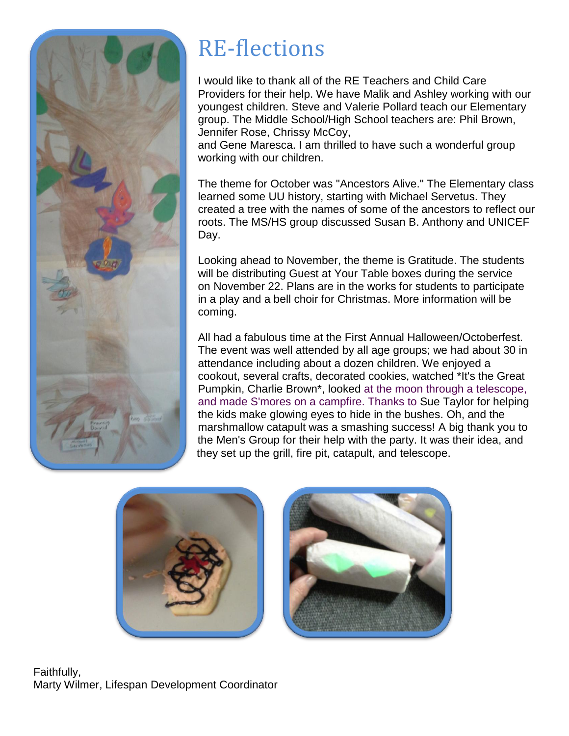

# RE-flections

I would like to thank all of the RE Teachers and Child Care Providers for their help. We have Malik and Ashley working with our youngest children. Steve and Valerie Pollard teach our Elementary group. The Middle School/High School teachers are: Phil Brown, Jennifer Rose, Chrissy McCoy,

and Gene Maresca. I am thrilled to have such a wonderful group working with our children.

The theme for October was "Ancestors Alive." The Elementary class learned some UU history, starting with Michael Servetus. They created a tree with the names of some of the ancestors to reflect our roots. The MS/HS group discussed Susan B. Anthony and UNICEF Day.

Looking ahead to November, the theme is Gratitude. The students will be distributing Guest at Your Table boxes during the service on November 22. Plans are in the works for students to participate in a play and a bell choir for Christmas. More information will be coming.

All had a fabulous time at the First Annual Halloween/Octoberfest. The event was well attended by all age groups; we had about 30 in attendance including about a dozen children. We enjoyed a cookout, several crafts, decorated cookies, watched \*It's the Great Pumpkin, Charlie Brown\*, looked at the moon through a telescope, and made S'mores on a campfire. Thanks to Sue Taylor for helping the kids make glowing eyes to hide in the bushes. Oh, and the marshmallow catapult was a smashing success! A big thank you to the Men's Group for their help with the party. It was their idea, and they set up the grill, fire pit, catapult, and telescope.





Faithfully, Marty Wilmer, Lifespan Development Coordinator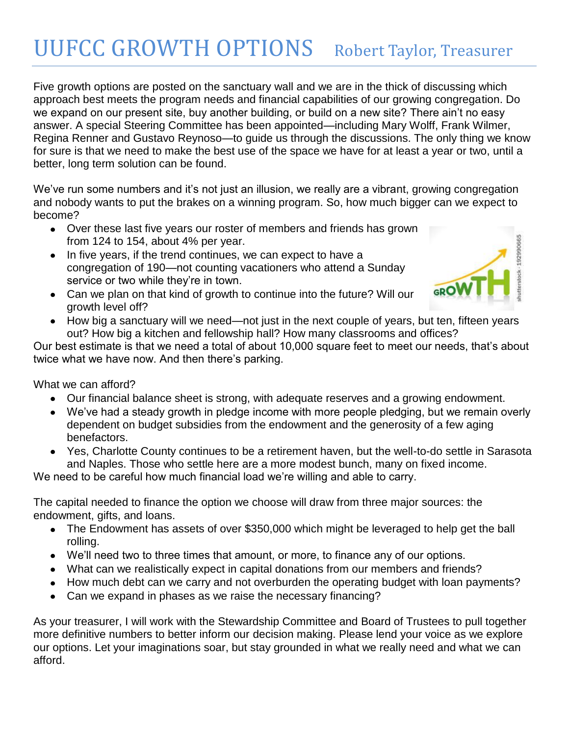### UUFCC GROWTH OPTIONS Robert Taylor, Treasurer

Five growth options are posted on the sanctuary wall and we are in the thick of discussing which approach best meets the program needs and financial capabilities of our growing congregation. Do we expand on our present site, buy another building, or build on a new site? There ain't no easy answer. A special Steering Committee has been appointed—including Mary Wolff, Frank Wilmer, Regina Renner and Gustavo Reynoso—to guide us through the discussions. The only thing we know for sure is that we need to make the best use of the space we have for at least a year or two, until a better, long term solution can be found.

We've run some numbers and it's not just an illusion, we really are a vibrant, growing congregation and nobody wants to put the brakes on a winning program. So, how much bigger can we expect to become?

- Over these last five years our roster of members and friends has grown from 124 to 154, about 4% per year.
- In five years, if the trend continues, we can expect to have a congregation of 190—not counting vacationers who attend a Sunday service or two while they're in town.
- Can we plan on that kind of growth to continue into the future? Will our growth level off?



• How big a sanctuary will we need—not just in the next couple of years, but ten, fifteen years out? How big a kitchen and fellowship hall? How many classrooms and offices?

Our best estimate is that we need a total of about 10,000 square feet to meet our needs, that's about twice what we have now. And then there's parking.

What we can afford?

- Our financial balance sheet is strong, with adequate reserves and a growing endowment.
- We've had a steady growth in pledge income with more people pledging, but we remain overly dependent on budget subsidies from the endowment and the generosity of a few aging benefactors.
- Yes, Charlotte County continues to be a retirement haven, but the well-to-do settle in Sarasota and Naples. Those who settle here are a more modest bunch, many on fixed income.

We need to be careful how much financial load we're willing and able to carry.

The capital needed to finance the option we choose will draw from three major sources: the endowment, gifts, and loans.

- The Endowment has assets of over \$350,000 which might be leveraged to help get the ball rolling.
- We'll need two to three times that amount, or more, to finance any of our options.
- What can we realistically expect in capital donations from our members and friends?
- How much debt can we carry and not overburden the operating budget with loan payments?
- Can we expand in phases as we raise the necessary financing?

As your treasurer, I will work with the Stewardship Committee and Board of Trustees to pull together more definitive numbers to better inform our decision making. Please lend your voice as we explore our options. Let your imaginations soar, but stay grounded in what we really need and what we can afford.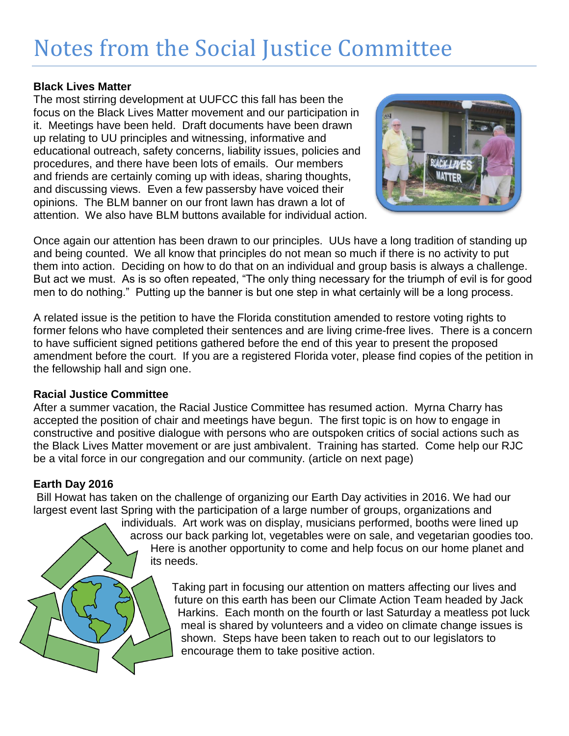### Notes from the Social Justice Committee

#### **Black Lives Matter**

The most stirring development at UUFCC this fall has been the focus on the Black Lives Matter movement and our participation in it. Meetings have been held. Draft documents have been drawn up relating to UU principles and witnessing, informative and educational outreach, safety concerns, liability issues, policies and procedures, and there have been lots of emails. Our members and friends are certainly coming up with ideas, sharing thoughts, and discussing views. Even a few passersby have voiced their opinions. The BLM banner on our front lawn has drawn a lot of attention. We also have BLM buttons available for individual action.



Once again our attention has been drawn to our principles. UUs have a long tradition of standing up and being counted. We all know that principles do not mean so much if there is no activity to put them into action. Deciding on how to do that on an individual and group basis is always a challenge. But act we must. As is so often repeated, "The only thing necessary for the triumph of evil is for good men to do nothing." Putting up the banner is but one step in what certainly will be a long process.

A related issue is the petition to have the Florida constitution amended to restore voting rights to former felons who have completed their sentences and are living crime-free lives. There is a concern to have sufficient signed petitions gathered before the end of this year to present the proposed amendment before the court. If you are a registered Florida voter, please find copies of the petition in the fellowship hall and sign one.

#### **Racial Justice Committee**

After a summer vacation, the Racial Justice Committee has resumed action. Myrna Charry has accepted the position of chair and meetings have begun. The first topic is on how to engage in constructive and positive dialogue with persons who are outspoken critics of social actions such as the Black Lives Matter movement or are just ambivalent. Training has started. Come help our RJC be a vital force in our congregation and our community. (article on next page)

#### **Earth Day 2016**

Bill Howat has taken on the challenge of organizing our Earth Day activities in 2016. We had our largest event last Spring with the participation of a large number of groups, organizations and

individuals. Art work was on display, musicians performed, booths were lined up across our back parking lot, vegetables were on sale, and vegetarian goodies too. Here is another opportunity to come and help focus on our home planet and its needs.

> Taking part in focusing our attention on matters affecting our lives and future on this earth has been our Climate Action Team headed by Jack Harkins. Each month on the fourth or last Saturday a meatless pot luck meal is shared by volunteers and a video on climate change issues is shown. Steps have been taken to reach out to our legislators to encourage them to take positive action.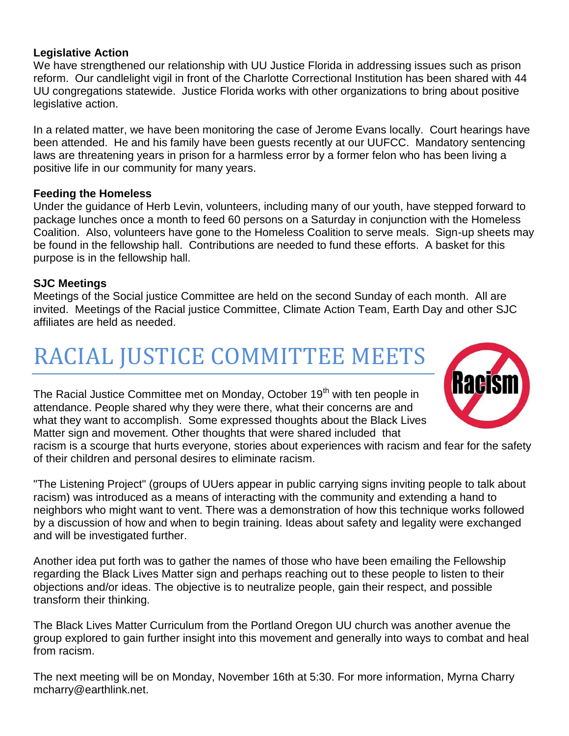#### **Legislative Action**

We have strengthened our relationship with UU Justice Florida in addressing issues such as prison reform. Our candlelight vigil in front of the Charlotte Correctional Institution has been shared with 44 UU congregations statewide. Justice Florida works with other organizations to bring about positive legislative action.

In a related matter, we have been monitoring the case of Jerome Evans locally. Court hearings have been attended. He and his family have been guests recently at our UUFCC. Mandatory sentencing laws are threatening years in prison for a harmless error by a former felon who has been living a positive life in our community for many years.

#### **Feeding the Homeless**

Under the guidance of Herb Levin, volunteers, including many of our youth, have stepped forward to package lunches once a month to feed 60 persons on a Saturday in conjunction with the Homeless Coalition. Also, volunteers have gone to the Homeless Coalition to serve meals. Sign-up sheets may be found in the fellowship hall. Contributions are needed to fund these efforts. A basket for this purpose is in the fellowship hall.

#### **SJC Meetings**

Meetings of the Social justice Committee are held on the second Sunday of each month. All are invited. Meetings of the Racial justice Committee, Climate Action Team, Earth Day and other SJC affiliates are held as needed.

### RACIAL JUSTICE COMMITTEE MEETS

The Racial Justice Committee met on Monday, October 19<sup>th</sup> with ten people in attendance. People shared why they were there, what their concerns are and what they want to accomplish. Some expressed thoughts about the Black Lives Matter sign and movement. Other thoughts that were shared included that



racism is a scourge that hurts everyone, stories about experiences with racism and fear for the safety of their children and personal desires to eliminate racism.

"The Listening Project" (groups of UUers appear in public carrying signs inviting people to talk about racism) was introduced as a means of interacting with the community and extending a hand to neighbors who might want to vent. There was a demonstration of how this technique works followed by a discussion of how and when to begin training. Ideas about safety and legality were exchanged and will be investigated further.

Another idea put forth was to gather the names of those who have been emailing the Fellowship regarding the Black Lives Matter sign and perhaps reaching out to these people to listen to their objections and/or ideas. The objective is to neutralize people, gain their respect, and possible transform their thinking.

The Black Lives Matter Curriculum from the Portland Oregon UU church was another avenue the group explored to gain further insight into this movement and generally into ways to combat and heal from racism.

The next meeting will be on Monday, November 16th at 5:30. For more information, Myrna Charry mcharry@earthlink.net.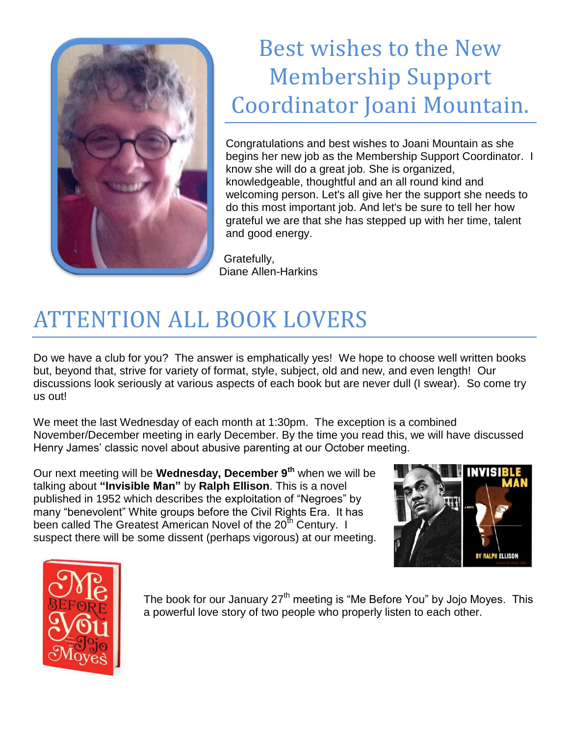

### Best wishes to the New Membership Support Coordinator Joani Mountain.

Congratulations and best wishes to Joani Mountain as she begins her new job as the Membership Support Coordinator. I know she will do a great job. She is organized, knowledgeable, thoughtful and an all round kind and welcoming person. Let's all give her the support she needs to do this most important job. And let's be sure to tell her how grateful we are that she has stepped up with her time, talent and good energy.

Gratefully, Diane Allen-Harkins

# ATTENTION ALL BOOK LOVERS

Do we have a club for you? The answer is emphatically yes! We hope to choose well written books but, beyond that, strive for variety of format, style, subject, old and new, and even length! Our discussions look seriously at various aspects of each book but are never dull (I swear). So come try us out!

We meet the last Wednesday of each month at 1:30pm. The exception is a combined November/December meeting in early December. By the time you read this, we will have discussed Henry James' classic novel about abusive parenting at our October meeting.

Our next meeting will be **Wednesday, December 9th** when we will be talking about **"Invisible Man"** by **Ralph Ellison**. This is a novel published in 1952 which describes the exploitation of "Negroes" by many "benevolent" White groups before the Civil Rights Era. It has been called The Greatest American Novel of the  $20<sup>th</sup>$  Century. I suspect there will be some dissent (perhaps vigorous) at our meeting.





The book for our January  $27<sup>th</sup>$  meeting is "Me Before You" by Jojo Moyes. This a powerful love story of two people who properly listen to each other.